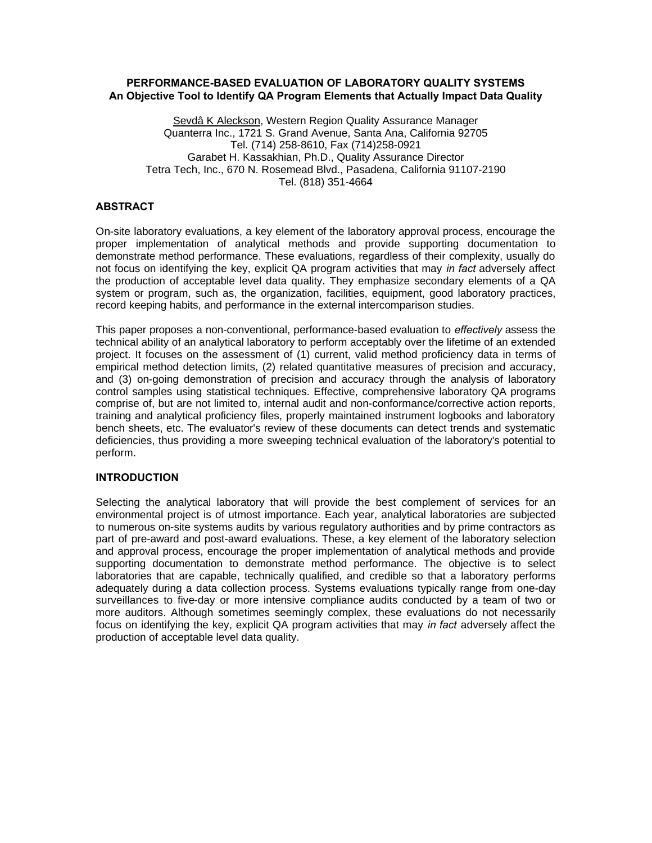## **PERFORMANCE-BASED EVALUATION OF LABORATORY QUALITY SYSTEMS An Objective Tool to Identify QA Program Elements that Actually Impact Data Quality**

Sevdâ K Aleckson, Western Region Quality Assurance Manager Quanterra Inc., 1721 S. Grand Avenue, Santa Ana, California 92705 Tel. (714) 258-8610, Fax (714)258-0921 Garabet H. Kassakhian, Ph.D., Quality Assurance Director Tetra Tech, Inc., 670 N. Rosemead Blvd., Pasadena, California 91107-2190 Tel. (818) 351-4664

# **ABSTRACT**

On-site laboratory evaluations, a key element of the laboratory approval process, encourage the proper implementation of analytical methods and provide supporting documentation to demonstrate method performance. These evaluations, regardless of their complexity, usually do not focus on identifying the key, explicit QA program activities that may *in fact* adversely affect the production of acceptable level data quality. They emphasize secondary elements of a QA system or program, such as, the organization, facilities, equipment, good laboratory practices, record keeping habits, and performance in the external intercomparison studies.

This paper proposes a non-conventional, performance-based evaluation to *effectively* assess the technical ability of an analytical laboratory to perform acceptably over the lifetime of an extended project. It focuses on the assessment of (1) current, valid method proficiency data in terms of empirical method detection limits, (2) related quantitative measures of precision and accuracy, and (3) on-going demonstration of precision and accuracy through the analysis of laboratory control samples using statistical techniques. Effective, comprehensive laboratory QA programs comprise of, but are not limited to, internal audit and non-conformance/corrective action reports, training and analytical proficiency files, properly maintained instrument logbooks and laboratory bench sheets, etc. The evaluator's review of these documents can detect trends and systematic deficiencies, thus providing a more sweeping technical evaluation of the laboratory's potential to perform.

#### **INTRODUCTION**

Selecting the analytical laboratory that will provide the best complement of services for an environmental project is of utmost importance. Each year, analytical laboratories are subjected to numerous on-site systems audits by various regulatory authorities and by prime contractors as part of pre-award and post-award evaluations. These, a key element of the laboratory selection and approval process, encourage the proper implementation of analytical methods and provide supporting documentation to demonstrate method performance. The objective is to select laboratories that are capable, technically qualified, and credible so that a laboratory performs adequately during a data collection process. Systems evaluations typically range from one-day surveillances to five-day or more intensive compliance audits conducted by a team of two or more auditors. Although sometimes seemingly complex, these evaluations do not necessarily focus on identifying the key, explicit QA program activities that may *in fact* adversely affect the production of acceptable level data quality.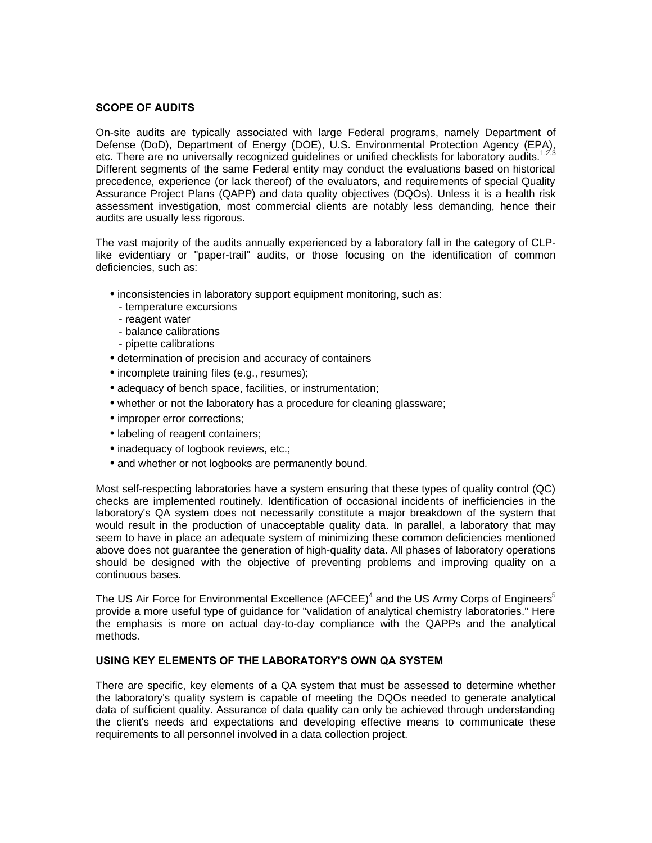### **SCOPE OF AUDITS**

On-site audits are typically associated with large Federal programs, namely Department of Defense (DoD), Department of Energy (DOE), U.S. Environmental Protection Agency (EPA), etc. There are no universally recognized guidelines or unified checklists for laboratory audits.<sup>1,2,3</sup> Different segments of the same Federal entity may conduct the evaluations based on historical precedence, experience (or lack thereof) of the evaluators, and requirements of special Quality Assurance Project Plans (QAPP) and data quality objectives (DQOs). Unless it is a health risk assessment investigation, most commercial clients are notably less demanding, hence their audits are usually less rigorous.

The vast majority of the audits annually experienced by a laboratory fall in the category of CLPlike evidentiary or "paper-trail" audits, or those focusing on the identification of common deficiencies, such as:

- inconsistencies in laboratory support equipment monitoring, such as:
	- temperature excursions
	- reagent water
	- balance calibrations
	- pipette calibrations
- determination of precision and accuracy of containers
- incomplete training files (e.g., resumes);
- adequacy of bench space, facilities, or instrumentation;
- whether or not the laboratory has a procedure for cleaning glassware;
- improper error corrections:
- labeling of reagent containers;
- inadequacy of logbook reviews, etc.;
- and whether or not logbooks are permanently bound.

Most self-respecting laboratories have a system ensuring that these types of quality control (QC) checks are implemented routinely. Identification of occasional incidents of inefficiencies in the laboratory's QA system does not necessarily constitute a major breakdown of the system that would result in the production of unacceptable quality data. In parallel, a laboratory that may seem to have in place an adequate system of minimizing these common deficiencies mentioned above does not guarantee the generation of high-quality data. All phases of laboratory operations should be designed with the objective of preventing problems and improving quality on a continuous bases.

The US Air Force for Environmental Excellence (AFCEE)<sup>4</sup> and the US Army Corps of Engineers<sup>5</sup> provide a more useful type of guidance for "validation of analytical chemistry laboratories." Here the emphasis is more on actual day-to-day compliance with the QAPPs and the analytical methods.

#### **USING KEY ELEMENTS OF THE LABORATORY'S OWN QA SYSTEM**

There are specific, key elements of a QA system that must be assessed to determine whether the laboratory's quality system is capable of meeting the DQOs needed to generate analytical data of sufficient quality. Assurance of data quality can only be achieved through understanding the client's needs and expectations and developing effective means to communicate these requirements to all personnel involved in a data collection project.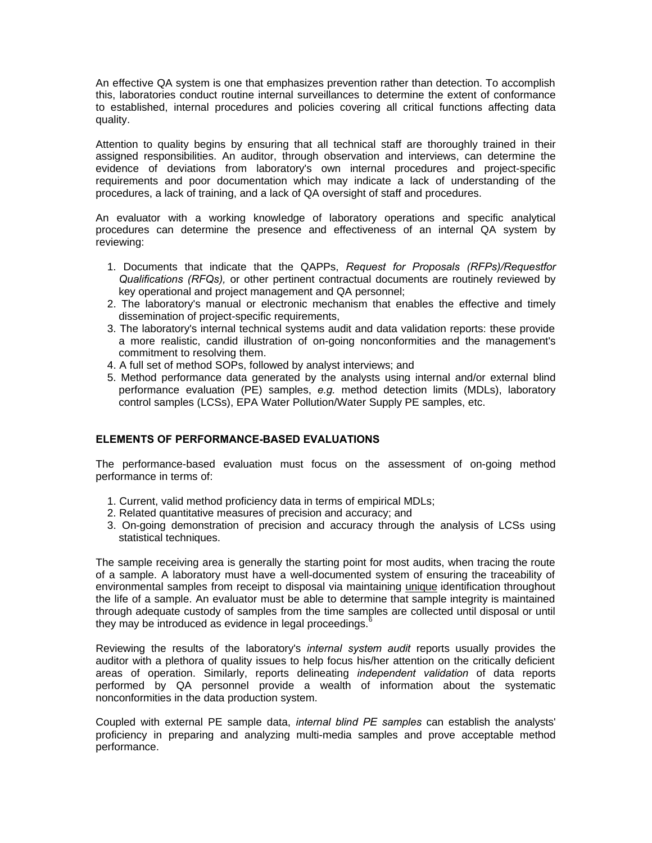An effective QA system is one that emphasizes prevention rather than detection. To accomplish this, laboratories conduct routine internal surveillances to determine the extent of conformance to established, internal procedures and policies covering all critical functions affecting data quality.

Attention to quality begins by ensuring that all technical staff are thoroughly trained in their assigned responsibilities. An auditor, through observation and interviews, can determine the evidence of deviations from laboratory's own internal procedures and project-specific requirements and poor documentation which may indicate a lack of understanding of the procedures, a lack of training, and a lack of QA oversight of staff and procedures.

An evaluator with a working knowledge of laboratory operations and specific analytical procedures can determine the presence and effectiveness of an internal QA system by reviewing:

- 1. Documents that indicate that the QAPPs, *Request for Proposals (RFPs)/Requestfor Qualifications (RFQs),* or other pertinent contractual documents are routinely reviewed by key operational and project management and QA personnel;
- 2. The laboratory's manual or electronic mechanism that enables the effective and timely dissemination of project-specific requirements,
- 3. The laboratory's internal technical systems audit and data validation reports: these provide a more realistic, candid illustration of on-going nonconformities and the management's commitment to resolving them.
- 4. A full set of method SOPs, followed by analyst interviews; and
- 5. Method performance data generated by the analysts using internal and/or external blind performance evaluation (PE) samples, *e.g.* method detection limits (MDLs), laboratory control samples (LCSs), EPA Water Pollution/Water Supply PE samples, etc.

# **ELEMENTS OF PERFORMANCE-BASED EVALUATIONS**

The performance-based evaluation must focus on the assessment of on-going method performance in terms of:

- 1. Current, valid method proficiency data in terms of empirical MDLs;
- 2. Related quantitative measures of precision and accuracy; and
- 3. On-going demonstration of precision and accuracy through the analysis of LCSs using statistical techniques.

The sample receiving area is generally the starting point for most audits, when tracing the route of a sample. A laboratory must have a well-documented system of ensuring the traceability of environmental samples from receipt to disposal via maintaining unique identification throughout the life of a sample. An evaluator must be able to determine that sample integrity is maintained through adequate custody of samples from the time samples are collected until disposal or until they may be introduced as evidence in legal proceedings. $6$ 

Reviewing the results of the laboratory's *internal system audit* reports usually provides the auditor with a plethora of quality issues to help focus his/her attention on the critically deficient areas of operation. Similarly, reports delineating *independent validation* of data reports performed by QA personnel provide a wealth of information about the systematic nonconformities in the data production system.

Coupled with external PE sample data, *internal blind PE samples* can establish the analysts' proficiency in preparing and analyzing multi-media samples and prove acceptable method performance.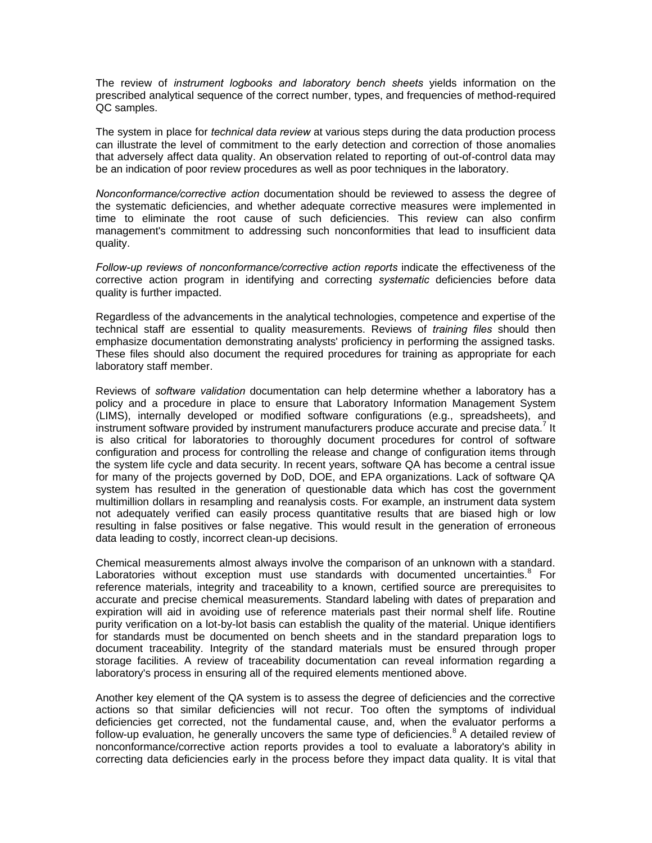The review of *instrument logbooks and laboratory bench sheets* yields information on the prescribed analytical sequence of the correct number, types, and frequencies of method-required QC samples.

The system in place for *technical data review* at various steps during the data production process can illustrate the level of commitment to the early detection and correction of those anomalies that adversely affect data quality. An observation related to reporting of out-of-control data may be an indication of poor review procedures as well as poor techniques in the laboratory.

*Nonconformance/corrective action* documentation should be reviewed to assess the degree of the systematic deficiencies, and whether adequate corrective measures were implemented in time to eliminate the root cause of such deficiencies. This review can also confirm management's commitment to addressing such nonconformities that lead to insufficient data quality.

*Follow-up reviews of nonconformance/corrective action reports* indicate the effectiveness of the corrective action program in identifying and correcting *systematic* deficiencies before data quality is further impacted.

Regardless of the advancements in the analytical technologies, competence and expertise of the technical staff are essential to quality measurements. Reviews of *training files* should then emphasize documentation demonstrating analysts' proficiency in performing the assigned tasks. These files should also document the required procedures for training as appropriate for each laboratory staff member.

Reviews of *software validation* documentation can help determine whether a laboratory has a policy and a procedure in place to ensure that Laboratory Information Management System (LIMS), internally developed or modified software configurations (e.g., spreadsheets), and instrument software provided by instrument manufacturers produce accurate and precise data.<sup>7</sup> It is also critical for laboratories to thoroughly document procedures for control of software configuration and process for controlling the release and change of configuration items through the system life cycle and data security. In recent years, software QA has become a central issue for many of the projects governed by DoD, DOE, and EPA organizations. Lack of software QA system has resulted in the generation of questionable data which has cost the government multimillion dollars in resampling and reanalysis costs. For example, an instrument data system not adequately verified can easily process quantitative results that are biased high or low resulting in false positives or false negative. This would result in the generation of erroneous data leading to costly, incorrect clean-up decisions.

Chemical measurements almost always involve the comparison of an unknown with a standard. Laboratories without exception must use standards with documented uncertainties.<sup>8</sup> For reference materials, integrity and traceability to a known, certified source are prerequisites to accurate and precise chemical measurements. Standard labeling with dates of preparation and expiration will aid in avoiding use of reference materials past their normal shelf life. Routine purity verification on a lot-by-lot basis can establish the quality of the material. Unique identifiers for standards must be documented on bench sheets and in the standard preparation logs to document traceability. Integrity of the standard materials must be ensured through proper storage facilities. A review of traceability documentation can reveal information regarding a laboratory's process in ensuring all of the required elements mentioned above.

Another key element of the QA system is to assess the degree of deficiencies and the corrective actions so that similar deficiencies will not recur. Too often the symptoms of individual deficiencies get corrected, not the fundamental cause, and, when the evaluator performs a follow-up evaluation, he generally uncovers the same type of deficiencies.<sup>8</sup> A detailed review of nonconformance/corrective action reports provides a tool to evaluate a laboratory's ability in correcting data deficiencies early in the process before they impact data quality. It is vital that